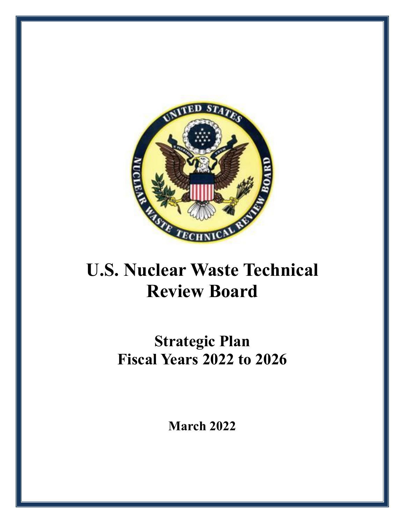

# **U.S. Nuclear Waste Technical Review Board**

# **Strategic Plan Fiscal Years 2022 to 2026**

**March 2022**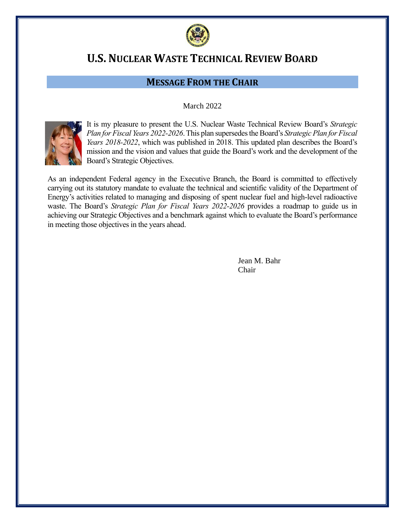

# **U.S. NUCLEAR WASTE TECHNICAL REVIEW BOARD**

# **MESSAGE FROM THE CHAIR**

#### March 2022



It is my pleasure to present the U.S. Nuclear Waste Technical Review Board's *Strategic Plan for Fiscal Years 2022-2026*.This plan supersedes the Board's *Strategic Plan for Fiscal Years 2018-2022*, which was published in 2018. This updated plan describes the Board's mission and the vision and values that guide the Board's work and the development of the Board's Strategic Objectives.

As an independent Federal agency in the Executive Branch, the Board is committed to effectively carrying out its statutory mandate to evaluate the technical and scientific validity of the Department of Energy's activities related to managing and disposing of spent nuclear fuel and high-level radioactive waste. The Board's *Strategic Plan for Fiscal Years 2022-2026* provides a roadmap to guide us in achieving our Strategic Objectives and a benchmark against which to evaluate the Board's performance in meeting those objectives in the years ahead.

> Jean M. Bahr Chair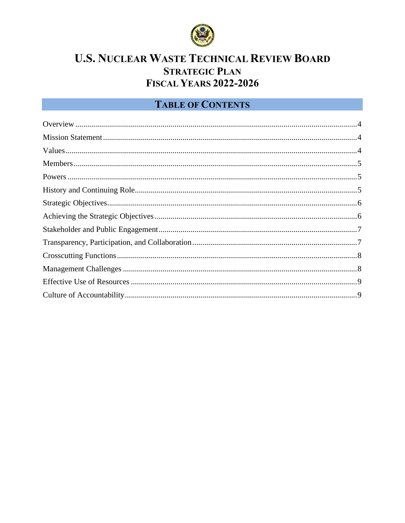

# **U.S. NUCLEAR WASTE TECHNICAL REVIEW BOARD STRATEGIC PLAN FISCAL YEARS 2022-2026**

# **TABLE OF CONTENTS**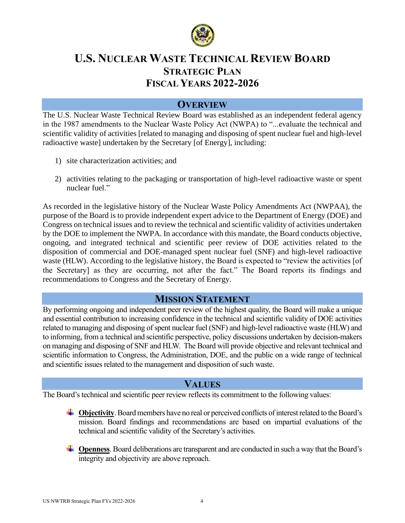

# **U.S. NUCLEAR WASTE TECHNICAL REVIEW BOARD STRATEGIC PLAN FISCAL YEARS 2022-2026**

#### **OVERVIEW**

<span id="page-3-0"></span>The U.S. Nuclear Waste Technical Review Board was established as an independent federal agency in the 1987 amendments to the Nuclear Waste Policy Act (NWPA) to "...evaluate the technical and scientific validity of activities [related to managing and disposing of spent nuclear fuel and high-level radioactive waste] undertaken by the Secretary [of Energy], including:

- 1) site characterization activities; and
- 2) activities relating to the packaging or transportation of high-level radioactive waste or spent nuclear fuel."

As recorded in the legislative history of the Nuclear Waste Policy Amendments Act (NWPAA), the purpose of the Board is to provide independent expert advice to the Department of Energy (DOE) and Congress on technical issues and to review the technical and scientific validity of activities undertaken by the DOE to implement the NWPA. In accordance with this mandate, the Board conducts objective, ongoing, and integrated technical and scientific peer review of DOE activities related to the disposition of commercial and DOE-managed spent nuclear fuel (SNF) and high-level radioactive waste (HLW). According to the legislative history, the Board is expected to "review the activities [of the Secretary] as they are occurring, not after the fact." The Board reports its findings and recommendations to Congress and the Secretary of Energy.

#### **MISSION STATEMENT**

<span id="page-3-1"></span>By performing ongoing and independent peer review of the highest quality, the Board will make a unique and essential contribution to increasing confidence in the technical and scientific validity of DOE activities related to managing and disposing of spent nuclear fuel (SNF) and high-level radioactive waste (HLW) and to informing, from a technical and scientific perspective, policy discussions undertaken by decision-makers on managing and disposing of SNF and HLW. The Board will provide objective and relevant technical and scientific information to Congress, the Administration, DOE, and the public on a wide range of technical and scientific issues related to the management and disposition of such waste.

## **VALUES**

<span id="page-3-2"></span>The Board's technical and scientific peer review reflects its commitment to the following values:

- **<sup>4</sup>** Objectivity. Board members have no real or perceived conflicts of interest related to the Board's mission. Board findings and recommendations are based on impartial evaluations of the technical and scientific validity of the Secretary's activities.
- **+ Openness**. Board deliberations are transparent and are conducted in such a way that the Board's integrity and objectivity are above reproach.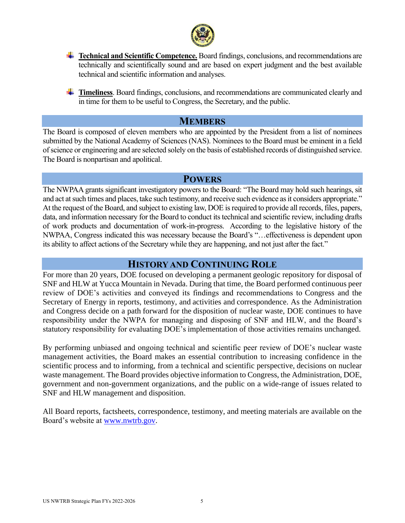

- **Technical and Scientific Competence.** Board findings, conclusions, and recommendations are technically and scientifically sound and are based on expert judgment and the best available technical and scientific information and analyses.
- **Timeliness**. Board findings, conclusions, and recommendations are communicated clearly and in time for them to be useful to Congress, the Secretary, and the public.

#### **MEMBERS**

<span id="page-4-0"></span>The Board is composed of eleven members who are appointed by the President from a list of nominees submitted by the National Academy of Sciences (NAS). Nominees to the Board must be eminent in a field of science or engineering and are selected solely on the basis of established records of distinguished service. The Board is nonpartisan and apolitical.

#### **POWERS**

<span id="page-4-1"></span>The NWPAA grants significant investigatory powers to the Board: "The Board may hold such hearings, sit and act at such times and places, take such testimony, and receive such evidence as it considers appropriate." At the request of the Board, and subject to existing law, DOE is required to provide all records, files, papers, data, and information necessary for the Board to conduct its technical and scientific review, including drafts of work products and documentation of work-in-progress. According to the legislative history of the NWPAA, Congress indicated this was necessary because the Board's "…effectiveness is dependent upon its ability to affect actions of the Secretary while they are happening, and not just after the fact."

## **HISTORY AND CONTINUING ROLE**

<span id="page-4-2"></span>For more than 20 years, DOE focused on developing a permanent geologic repository for disposal of SNF and HLW at Yucca Mountain in Nevada. During that time, the Board performed continuous peer review of DOE's activities and conveyed its findings and recommendations to Congress and the Secretary of Energy in reports, testimony, and activities and correspondence. As the Administration and Congress decide on a path forward for the disposition of nuclear waste, DOE continues to have responsibility under the NWPA for managing and disposing of SNF and HLW, and the Board's statutory responsibility for evaluating DOE's implementation of those activities remains unchanged.

By performing unbiased and ongoing technical and scientific peer review of DOE's nuclear waste management activities, the Board makes an essential contribution to increasing confidence in the scientific process and to informing, from a technical and scientific perspective, decisions on nuclear waste management. The Board provides objective information to Congress, the Administration, DOE, government and non-government organizations, and the public on a wide-range of issues related to SNF and HLW management and disposition.

All Board reports, factsheets, correspondence, testimony, and meeting materials are available on the Board's website at [www.nwtrb.gov.](http://www.nwtrb.gov/)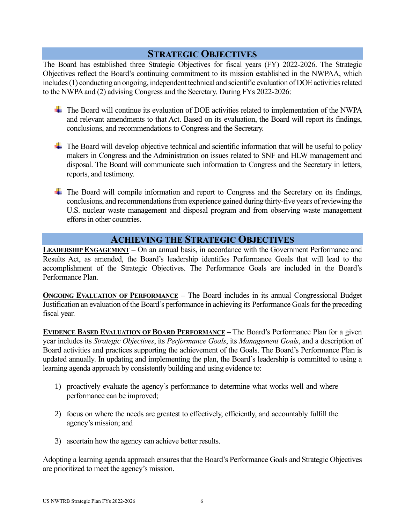# **STRATEGIC OBJECTIVES**

<span id="page-5-0"></span>The Board has established three Strategic Objectives for fiscal years (FY) 2022-2026. The Strategic Objectives reflect the Board's continuing commitment to its mission established in the NWPAA, which includes (1) conducting an ongoing, independent technical and scientific evaluation of DOE activities related to the NWPA and (2) advising Congress and the Secretary. During FYs 2022-2026:

- The Board will continue its evaluation of DOE activities related to implementation of the NWPA and relevant amendments to that Act. Based on its evaluation, the Board will report its findings, conclusions, and recommendations to Congress and the Secretary.
- $\leftarrow$  The Board will develop objective technical and scientific information that will be useful to policy makers in Congress and the Administration on issues related to SNF and HLW management and disposal. The Board will communicate such information to Congress and the Secretary in letters, reports, and testimony.
- $\overline{\phantom{a}}$  The Board will compile information and report to Congress and the Secretary on its findings, conclusions, and recommendations from experience gained during thirty-five years of reviewing the U.S. nuclear waste management and disposal program and from observing waste management efforts in other countries.

# **ACHIEVING THE STRATEGIC OBJECTIVES**

<span id="page-5-1"></span>**LEADERSHIP ENGAGEMENT –** On an annual basis, in accordance with the Government Performance and Results Act, as amended, the Board's leadership identifies Performance Goals that will lead to the accomplishment of the Strategic Objectives. The Performance Goals are included in the Board's Performance Plan.

**ONGOING EVALUATION OF PERFORMANCE** – The Board includes in its annual Congressional Budget Justification an evaluation of the Board's performance in achieving its Performance Goals for the preceding fiscal year.

**EVIDENCE BASED EVALUATION OF BOARD PERFORMANCE –** The Board's Performance Plan for a given year includes its *Strategic Objectives*, its *Performance Goals*, its *Management Goals*, and a description of Board activities and practices supporting the achievement of the Goals. The Board's Performance Plan is updated annually. In updating and implementing the plan, the Board's leadership is committed to using a learning agenda approach by consistently building and using evidence to:

- 1) proactively evaluate the agency's performance to determine what works well and where performance can be improved;
- 2) focus on where the needs are greatest to effectively, efficiently, and accountably fulfill the agency's mission; and
- 3) ascertain how the agency can achieve better results.

Adopting a learning agenda approach ensures that the Board's Performance Goals and Strategic Objectives are prioritized to meet the agency's mission.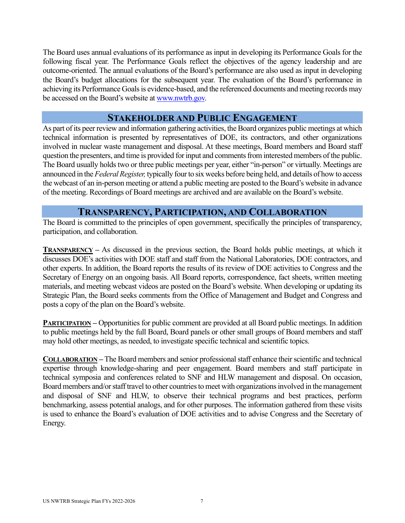The Board uses annual evaluations of its performance as input in developing its Performance Goals for the following fiscal year. The Performance Goals reflect the objectives of the agency leadership and are outcome-oriented. The annual evaluations of the Board's performance are also used as input in developing the Board's budget allocations for the subsequent year. The evaluation of the Board's performance in achieving its Performance Goals is evidence-based, and the referenced documents and meeting records may be accessed on the Board's website at [www.nwtrb.gov.](http://www.nwtrb.gov/)

#### **STAKEHOLDER AND PUBLIC ENGAGEMENT**

<span id="page-6-0"></span>As part of its peer review and information gathering activities, the Board organizes public meetings at which technical information is presented by representatives of DOE, its contractors, and other organizations involved in nuclear waste management and disposal. At these meetings, Board members and Board staff question the presenters, and time is provided for input and comments from interested members of the public. The Board usually holds two or three public meetings per year, either "in-person" or virtually. Meetings are announced in the *Federal Register,* typically four to six weeks before being held, and details of how to access the webcast of an in-person meeting or attend a public meeting are posted to the Board's website in advance of the meeting. Recordings of Board meetings are archived and are available on the Board's website.

### **TRANSPARENCY, PARTICIPATION, AND COLLABORATION**

<span id="page-6-1"></span>The Board is committed to the principles of open government, specifically the principles of transparency, participation, and collaboration.

**TRANSPARENCY** – As discussed in the previous section, the Board holds public meetings, at which it discusses DOE's activities with DOE staff and staff from the National Laboratories, DOE contractors, and other experts. In addition, the Board reports the results of its review of DOE activities to Congress and the Secretary of Energy on an ongoing basis. All Board reports, correspondence, fact sheets, written meeting materials, and meeting webcast videos are posted on the Board's website. When developing or updating its Strategic Plan, the Board seeks comments from the Office of Management and Budget and Congress and posts a copy of the plan on the Board's website.

**PARTICIPATION** – Opportunities for public comment are provided at all Board public meetings. In addition to public meetings held by the full Board, Board panels or other small groups of Board members and staff may hold other meetings, as needed, to investigate specific technical and scientific topics.

**COLLABORATION –** The Board members and senior professional staff enhance their scientific and technical expertise through knowledge-sharing and peer engagement. Board members and staff participate in technical symposia and conferences related to SNF and HLW management and disposal. On occasion, Board members and/or staff travel to other countries to meet with organizations involved in the management and disposal of SNF and HLW, to observe their technical programs and best practices, perform benchmarking, assess potential analogs, and for other purposes. The information gathered from these visits is used to enhance the Board's evaluation of DOE activities and to advise Congress and the Secretary of Energy.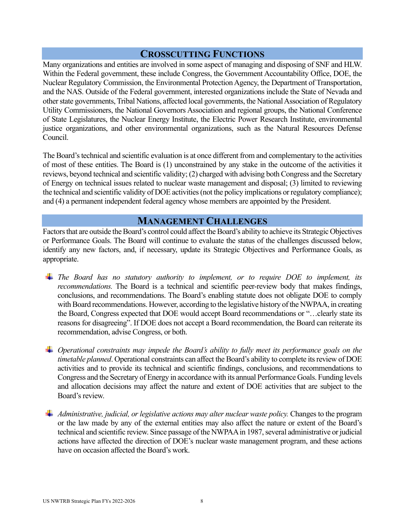## **CROSSCUTTING FUNCTIONS**

<span id="page-7-0"></span>Many organizations and entities are involved in some aspect of managing and disposing of SNF and HLW. Within the Federal government, these include Congress, the Government Accountability Office, DOE, the Nuclear Regulatory Commission, the Environmental Protection Agency, the Department of Transportation, and the NAS. Outside of the Federal government, interested organizations include the State of Nevada and other state governments, Tribal Nations, affected local governments, the National Association of Regulatory Utility Commissioners, the National Governors Association and regional groups, the National Conference of State Legislatures, the Nuclear Energy Institute, the Electric Power Research Institute, environmental justice organizations, and other environmental organizations, such as the Natural Resources Defense Council.

The Board's technical and scientific evaluation is at once different from and complementary to the activities of most of these entities. The Board is (1) unconstrained by any stake in the outcome of the activities it reviews, beyond technical and scientific validity; (2) charged with advising both Congress and the Secretary of Energy on technical issues related to nuclear waste management and disposal; (3) limited to reviewing the technical and scientific validity of DOE activities (not the policy implications or regulatory compliance); and (4) a permanent independent federal agency whose members are appointed by the President.

#### **MANAGEMENT CHALLENGES**

<span id="page-7-1"></span>Factors that are outside the Board's control could affect the Board's ability to achieve its Strategic Objectives or Performance Goals. The Board will continue to evaluate the status of the challenges discussed below, identify any new factors, and, if necessary, update its Strategic Objectives and Performance Goals, as appropriate.

- *The Board has no statutory authority to implement, or to require DOE to implement, its recommendations.* The Board is a technical and scientific peer-review body that makes findings, conclusions, and recommendations. The Board's enabling statute does not obligate DOE to comply with Board recommendations. However, according to the legislative history of the NWPAA, in creating the Board, Congress expected that DOE would accept Board recommendations or "…clearly state its reasons for disagreeing". If DOE does not accept a Board recommendation, the Board can reiterate its recommendation, advise Congress, or both.
- *Operational constraints may impede the Board's ability to fully meet its performance goals on the timetable planned*. Operational constraints can affect the Board's ability to complete its review of DOE activities and to provide its technical and scientific findings, conclusions, and recommendations to Congress and the Secretary of Energy in accordance with its annual Performance Goals. Funding levels and allocation decisions may affect the nature and extent of DOE activities that are subject to the Board's review.
- *Administrative, judicial, or legislative actions may alter nuclear waste policy.* Changes to the program or the law made by any of the external entities may also affect the nature or extent of the Board's technical and scientific review. Since passage of the NWPAA in 1987, several administrative or judicial actions have affected the direction of DOE's nuclear waste management program, and these actions have on occasion affected the Board's work.